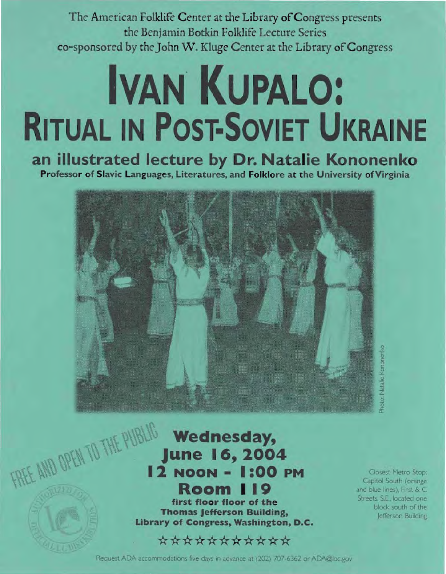The American Folklife Center at the Library of Congress presents the Benjamin Botkin Folklife Lecture Series co-sponsored by the John W. Kluge Center at the Library of Congress

# **IVAN KUPALO: RITUAL IN POST-SOVIET UKRAINE**

### an illustrated lecture by Dr. Natalie Kononenko

Professor of Slavic Languages, Literatures, and Folklore at the University of Virginia



oto: Natalie Kononenio

#### FREE AND OPEN TO THE PUBLIC **Wednesday, June 16, 2004 12 NOON - 1:00 PM Room 119**

first floor floor of the **Thomas Jefferson Building,** Library of Congress, Washington, D.C.

#### \*\*\*\*\*\*\*\*\*\*\*

Closest Metro Stop: Capitol South (orange) and blue lines), First & C Streets, S.E., located one block south of the Jefferson Building

Request ADA accommodations five days in advance at (202) 707-6362 or ADA@loc.gov